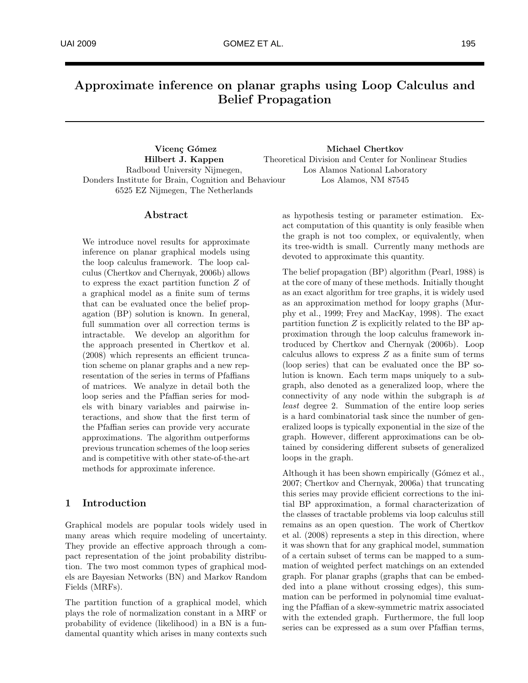# Approximate inference on planar graphs using Loop Calculus and Belief Propagation

Vicenç Gómez Hilbert J. Kappen Radboud University Nijmegen, Donders Institute for Brain, Cognition and Behaviour 6525 EZ Nijmegen, The Netherlands

Michael Chertkov Theoretical Division and Center for Nonlinear Studies Los Alamos National Laboratory Los Alamos, NM 87545

# Abstract

We introduce novel results for approximate inference on planar graphical models using the loop calculus framework. The loop calculus (Chertkov and Chernyak, 2006b) allows to express the exact partition function Z of a graphical model as a finite sum of terms that can be evaluated once the belief propagation (BP) solution is known. In general, full summation over all correction terms is intractable. We develop an algorithm for the approach presented in Chertkov et al. (2008) which represents an efficient truncation scheme on planar graphs and a new representation of the series in terms of Pfaffians of matrices. We analyze in detail both the loop series and the Pfaffian series for models with binary variables and pairwise interactions, and show that the first term of the Pfaffian series can provide very accurate approximations. The algorithm outperforms previous truncation schemes of the loop series and is competitive with other state-of-the-art methods for approximate inference.

# 1 Introduction

Graphical models are popular tools widely used in many areas which require modeling of uncertainty. They provide an effective approach through a compact representation of the joint probability distribution. The two most common types of graphical models are Bayesian Networks (BN) and Markov Random Fields (MRFs).

The partition function of a graphical model, which plays the role of normalization constant in a MRF or probability of evidence (likelihood) in a BN is a fundamental quantity which arises in many contexts such as hypothesis testing or parameter estimation. Exact computation of this quantity is only feasible when the graph is not too complex, or equivalently, when its tree-width is small. Currently many methods are devoted to approximate this quantity.

The belief propagation (BP) algorithm (Pearl, 1988) is at the core of many of these methods. Initially thought as an exact algorithm for tree graphs, it is widely used as an approximation method for loopy graphs (Murphy et al., 1999; Frey and MacKay, 1998). The exact partition function Z is explicitly related to the BP approximation through the loop calculus framework introduced by Chertkov and Chernyak (2006b). Loop calculus allows to express  $Z$  as a finite sum of terms (loop series) that can be evaluated once the BP solution is known. Each term maps uniquely to a subgraph, also denoted as a generalized loop, where the connectivity of any node within the subgraph is *at least* degree 2. Summation of the entire loop series is a hard combinatorial task since the number of generalized loops is typically exponential in the size of the graph. However, different approximations can be obtained by considering different subsets of generalized loops in the graph.

Although it has been shown empirically (Gómez et al., 2007; Chertkov and Chernyak, 2006a) that truncating this series may provide efficient corrections to the initial BP approximation, a formal characterization of the classes of tractable problems via loop calculus still remains as an open question. The work of Chertkov et al. (2008) represents a step in this direction, where it was shown that for any graphical model, summation of a certain subset of terms can be mapped to a summation of weighted perfect matchings on an extended graph. For planar graphs (graphs that can be embedded into a plane without crossing edges), this summation can be performed in polynomial time evaluating the Pfaffian of a skew-symmetric matrix associated with the extended graph. Furthermore, the full loop series can be expressed as a sum over Pfaffian terms,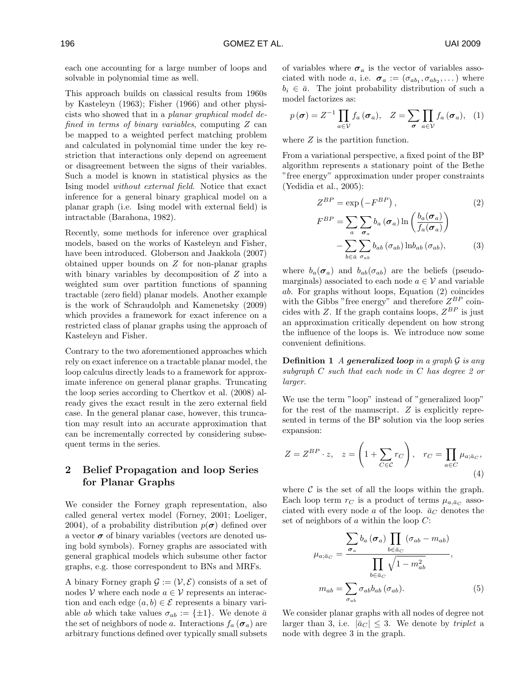each one accounting for a large number of loops and solvable in polynomial time as well.

This approach builds on classical results from 1960s by Kasteleyn (1963); Fisher (1966) and other physicists who showed that in a *planar graphical model defined in terms of binary variables*, computing Z can be mapped to a weighted perfect matching problem and calculated in polynomial time under the key restriction that interactions only depend on agreement or disagreement between the signs of their variables. Such a model is known in statistical physics as the Ising model *without external field*. Notice that exact inference for a general binary graphical model on a planar graph (i.e. Ising model with external field) is intractable (Barahona, 1982).

Recently, some methods for inference over graphical models, based on the works of Kasteleyn and Fisher, have been introduced. Globerson and Jaakkola (2007) obtained upper bounds on Z for non-planar graphs with binary variables by decomposition of  $Z$  into a weighted sum over partition functions of spanning tractable (zero field) planar models. Another example is the work of Schraudolph and Kamenetsky (2009) which provides a framework for exact inference on a restricted class of planar graphs using the approach of Kasteleyn and Fisher.

Contrary to the two aforementioned approaches which rely on exact inference on a tractable planar model, the loop calculus directly leads to a framework for approximate inference on general planar graphs. Truncating the loop series according to Chertkov et al. (2008) already gives the exact result in the zero external field case. In the general planar case, however, this truncation may result into an accurate approximation that can be incrementally corrected by considering subsequent terms in the series.

# 2 Belief Propagation and loop Series for Planar Graphs

We consider the Forney graph representation, also called general vertex model (Forney, 2001; Loeliger, 2004), of a probability distribution  $p(\sigma)$  defined over a vector  $\sigma$  of binary variables (vectors are denoted using bold symbols). Forney graphs are associated with general graphical models which subsume other factor graphs, e.g. those correspondent to BNs and MRFs.

A binary Forney graph  $\mathcal{G} := (\mathcal{V}, \mathcal{E})$  consists of a set of nodes V where each node  $a \in V$  represents an interaction and each edge  $(a, b) \in \mathcal{E}$  represents a binary variable ab which take values  $\sigma_{ab} := {\pm 1}$ . We denote  $\bar{a}$ the set of neighbors of node a. Interactions  $f_a(\sigma_a)$  are arbitrary functions defined over typically small subsets of variables where  $\sigma_a$  is the vector of variables associated with node a, i.e.  $\sigma_a := (\sigma_{ab_1}, \sigma_{ab_2}, \dots)$  where  $b_i \in \bar{a}$ . The joint probability distribution of such a model factorizes as:

$$
p(\boldsymbol{\sigma}) = Z^{-1} \prod_{a \in \mathcal{V}} f_a(\boldsymbol{\sigma}_a), \quad Z = \sum_{\boldsymbol{\sigma}} \prod_{a \in \mathcal{V}} f_a(\boldsymbol{\sigma}_a), \quad (1)
$$

where Z is the partition function.

From a variational perspective, a fixed point of the BP algorithm represents a stationary point of the Bethe "free energy" approximation under proper constraints (Yedidia et al., 2005):

$$
Z^{BP} = \exp(-F^{BP}), \qquad (2)
$$
  
\n
$$
F^{BP} = \sum_{a} \sum_{\sigma_a} b_a (\sigma_a) \ln \left( \frac{b_a(\sigma_a)}{f_a(\sigma_a)} \right)
$$
  
\n
$$
- \sum_{b \in \bar{a}} \sum_{\sigma_{ab}} b_{ab} (\sigma_{ab}) \ln b_{ab} (\sigma_{ab}), \qquad (3)
$$

where  $b_a(\sigma_a)$  and  $b_{ab}(\sigma_{ab})$  are the beliefs (pseudomarginals) associated to each node  $a \in V$  and variable ab. For graphs without loops, Equation (2) coincides with the Gibbs "free energy" and therefore  $Z^{BP}$  coincides with Z. If the graph contains loops,  $Z^{BP}$  is just an approximation critically dependent on how strong the influence of the loops is. We introduce now some convenient definitions.

Definition 1 *A* generalized loop *in a graph* G *is any subgraph* C *such that each node in* C *has degree 2 or larger.*

We use the term "loop" instead of "generalized loop" for the rest of the manuscript.  $Z$  is explicitly represented in terms of the BP solution via the loop series expansion:

$$
Z = Z^{BP} \cdot z, \quad z = \left(1 + \sum_{C \in \mathcal{C}} r_C\right), \quad r_C = \prod_{a \in C} \mu_{a; \bar{a}_C},\tag{4}
$$

where  $\mathcal C$  is the set of all the loops within the graph. Each loop term  $r_C$  is a product of terms  $\mu_{a,\bar{a}_C}$  associated with every node a of the loop.  $\bar{a}_C$  denotes the set of neighbors of  $a$  within the loop  $C$ :

$$
\mu_{a;\bar{a}_C} = \frac{\sum_{\sigma_a} b_a (\sigma_a) \prod_{b \in \bar{a}_C} (\sigma_{ab} - m_{ab})}{\prod_{b \in \bar{a}_C} \sqrt{1 - m_{ab}^2}},
$$
\n
$$
m_{ab} = \sum_{\sigma_{ab}} \sigma_{ab} b_{ab} (\sigma_{ab}).
$$
\n(5)

We consider planar graphs with all nodes of degree not larger than 3, i.e.  $|\bar{a}_C| \leq 3$ . We denote by *triplet* a node with degree 3 in the graph.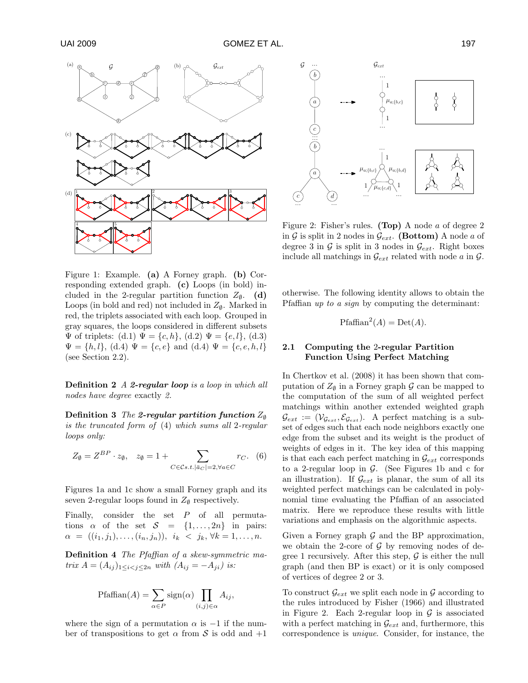

Figure 1: Example. (a) A Forney graph. (b) Corresponding extended graph. (c) Loops (in bold) included in the 2-regular partition function  $Z_{\emptyset}$ . (d) Loops (in bold and red) not included in  $Z_{\emptyset}$ . Marked in red, the triplets associated with each loop. Grouped in gray squares, the loops considered in different subsets  $\Psi$  of triplets: (d.1)  $\Psi = \{c, h\}$ , (d.2)  $\Psi = \{e, l\}$ , (d.3)  $\Psi = \{h, l\}, \, (d.4) \Psi = \{c, e\}$  and  $(d.4) \Psi = \{c, e, h, l\}$ (see Section 2.2).

Definition 2 *A* 2-regular loop *is a loop in which all nodes have degree* exactly *2.*

**Definition 3** *The* 2-regular partition function  $Z_{\emptyset}$ *is the truncated form of* (4) *which sums all* 2*-regular loops only:*

$$
Z_{\emptyset} = Z^{BP} \cdot z_{\emptyset}, \quad z_{\emptyset} = 1 + \sum_{C \in \mathcal{C} \text{s.t. } |\bar{a}_C| = 2, \forall a \in C} r_C. \tag{6}
$$

Figures 1a and 1c show a small Forney graph and its seven 2-regular loops found in  $Z_{\emptyset}$  respectively.

Finally, consider the set  $P$  of all permutations  $\alpha$  of the set  $S = \{1, \ldots, 2n\}$  in pairs:  $\alpha = ((i_1, j_1), \ldots, (i_n, j_n)), \, i_k < j_k, \forall k = 1, \ldots, n.$ 

Definition 4 *The Pfaffian of a skew-symmetric matrix*  $A = (A_{ij})_{1 \le i \le j \le 2n}$  *with*  $(A_{ij} = -A_{ji})$  *is:* 

$$
\text{Pfaffian}(A) = \sum_{\alpha \in P} \text{sign}(\alpha) \prod_{(i,j) \in \alpha} A_{ij},
$$

where the sign of a permutation  $\alpha$  is  $-1$  if the number of transpositions to get  $\alpha$  from S is odd and  $+1$ 



Figure 2: Fisher's rules. (Top) A node a of degree 2 in G is split in 2 nodes in  $\mathcal{G}_{ext}$ . (Bottom) A node a of degree 3 in  $\mathcal{G}$  is split in 3 nodes in  $\mathcal{G}_{ext}$ . Right boxes include all matchings in  $\mathcal{G}_{ext}$  related with node a in  $\mathcal{G}$ .

otherwise. The following identity allows to obtain the Pfaffian *up to a sign* by computing the determinant:

$$
Pfaffian^2(A) = Det(A).
$$

# 2.1 Computing the 2-regular Partition Function Using Perfect Matching

In Chertkov et al. (2008) it has been shown that computation of  $Z_{\emptyset}$  in a Forney graph G can be mapped to the computation of the sum of all weighted perfect matchings within another extended weighted graph  $\mathcal{G}_{ext} := (\mathcal{V}_{\mathcal{G}_{ext}}, \mathcal{E}_{\mathcal{G}_{ext}})$ . A perfect matching is a subset of edges such that each node neighbors exactly one edge from the subset and its weight is the product of weights of edges in it. The key idea of this mapping is that each each perfect matching in  $\mathcal{G}_{ext}$  corresponds to a 2-regular loop in  $G$ . (See Figures 1b and c for an illustration). If  $\mathcal{G}_{ext}$  is planar, the sum of all its weighted perfect matchings can be calculated in polynomial time evaluating the Pfaffian of an associated matrix. Here we reproduce these results with little variations and emphasis on the algorithmic aspects.

Given a Forney graph  $G$  and the BP approximation, we obtain the 2-core of  $\mathcal G$  by removing nodes of degree 1 recursively. After this step,  $\mathcal G$  is either the null graph (and then BP is exact) or it is only composed of vertices of degree 2 or 3.

To construct  $\mathcal{G}_{ext}$  we split each node in  $\mathcal G$  according to the rules introduced by Fisher (1966) and illustrated in Figure 2. Each 2-regular loop in  $\mathcal G$  is associated with a perfect matching in  $\mathcal{G}_{ext}$  and, furthermore, this correspondence is *unique*. Consider, for instance, the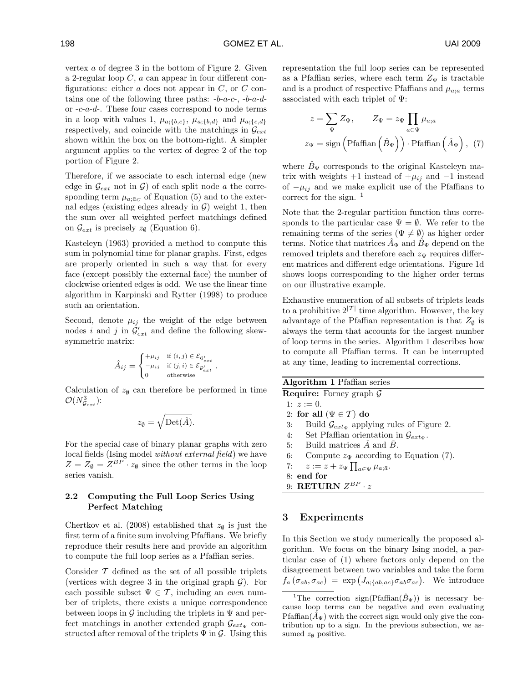vertex a of degree 3 in the bottom of Figure 2. Given a 2-regular loop C, a can appear in four different configurations: either a does not appear in  $C$ , or  $C$  contains one of the following three paths:  $-b-a-c-$ ,  $-b-a-d$ or -c-a-d-. These four cases correspond to node terms in a loop with values 1,  $\mu_{a; \{b,c\}}, \mu_{a; \{b,d\}}$  and  $\mu_{a; \{c,d\}}$ respectively, and coincide with the matchings in  $\mathcal{G}_{ext}$ shown within the box on the bottom-right. A simpler argument applies to the vertex of degree 2 of the top portion of Figure 2.

Therefore, if we associate to each internal edge (new edge in  $\mathcal{G}_{ext}$  not in  $\mathcal{G}$ ) of each split node a the corresponding term  $\mu_{a; \bar{a}_C}$  of Equation (5) and to the external edges (existing edges already in  $\mathcal{G}$ ) weight 1, then the sum over all weighted perfect matchings defined on  $\mathcal{G}_{ext}$  is precisely  $z_{\emptyset}$  (Equation 6).

Kasteleyn (1963) provided a method to compute this sum in polynomial time for planar graphs. First, edges are properly oriented in such a way that for every face (except possibly the external face) the number of clockwise oriented edges is odd. We use the linear time algorithm in Karpinski and Rytter (1998) to produce such an orientation.

Second, denote  $\mu_{ij}$  the weight of the edge between nodes *i* and *j* in  $\mathcal{G}_{ext}$  and define the following skewsymmetric matrix:

$$
\hat{A}_{ij} = \begin{cases}\n+\mu_{ij} & \text{if } (i,j) \in \mathcal{E}_{\mathcal{G}'_{ext}} \\
-\mu_{ij} & \text{if } (j,i) \in \mathcal{E}_{\mathcal{G}'_{ext}} \\
0 & \text{otherwise}\n\end{cases}.
$$

Calculation of  $z_{\emptyset}$  can therefore be performed in time  $\mathcal{O}(N_{\mathcal{G}_{ext}}^3)$ :

$$
z_{\emptyset} = \sqrt{\mathrm{Det}(\hat{A})}.
$$

For the special case of binary planar graphs with zero local fields (Ising model *without external field*) we have  $Z = Z_{\emptyset} = Z^{BP} \cdot z_{\emptyset}$  since the other terms in the loop series vanish.

# 2.2 Computing the Full Loop Series Using Perfect Matching

Chertkov et al. (2008) established that  $z_{\emptyset}$  is just the first term of a finite sum involving Pfaffians. We briefly reproduce their results here and provide an algorithm to compute the full loop series as a Pfaffian series.

Consider  $T$  defined as the set of all possible triplets (vertices with degree 3 in the original graph  $\mathcal{G}$ ). For each possible subset  $\Psi \in \mathcal{T}$ , including an *even* number of triplets, there exists a unique correspondence between loops in  $\mathcal G$  including the triplets in  $\Psi$  and perfect matchings in another extended graph  $\mathcal{G}_{ext_{\Psi}}$  constructed after removal of the triplets  $\Psi$  in  $\mathcal{G}$ . Using this representation the full loop series can be represented as a Pfaffian series, where each term  $Z_{\Psi}$  is tractable and is a product of respective Pfaffians and  $\mu_{a;\bar{a}}$  terms associated with each triplet of  $\Psi$ :

$$
z = \sum_{\Psi} Z_{\Psi}, \qquad Z_{\Psi} = z_{\Psi} \prod_{a \in \Psi} \mu_{a; \bar{a}}
$$

$$
z_{\Psi} = \text{sign}\left(\text{Pfaffian}\left(\hat{B}_{\Psi}\right)\right) \cdot \text{Pfaffian}\left(\hat{A}_{\Psi}\right), \tag{7}
$$

where  $\hat{B}_{\Psi}$  corresponds to the original Kasteleyn matrix with weights +1 instead of  $+\mu_{ij}$  and  $-1$  instead of  $-\mu_{ij}$  and we make explicit use of the Pfaffians to correct for the sign.  $\frac{1}{1}$ 

Note that the 2-regular partition function thus corresponds to the particular case  $\Psi = \emptyset$ . We refer to the remaining terms of the series ( $\Psi \neq \emptyset$ ) as higher order terms. Notice that matrices  $A_{\Psi}$  and  $B_{\Psi}$  depend on the removed triplets and therefore each  $z_{\Psi}$  requires different matrices and different edge orientations. Figure 1d shows loops corresponding to the higher order terms on our illustrative example.

Exhaustive enumeration of all subsets of triplets leads to a prohibitive  $2^{|{\mathcal{T}}|}$  time algorithm. However, the key advantage of the Pfaffian representation is that  $Z_{\emptyset}$  is always the term that accounts for the largest number of loop terms in the series. Algorithm 1 describes how to compute all Pfaffian terms. It can be interrupted at any time, leading to incremental corrections.

| Algorithm 1 Pfaffian series                                    |
|----------------------------------------------------------------|
| <b>Require:</b> Forney graph $\mathcal{G}$                     |
| 1: $z := 0$ .                                                  |
| 2: for all $(\Psi \in \mathcal{T})$ do                         |
| Build $\mathcal{G}_{extw}$ applying rules of Figure 2.<br>3:   |
| Set Pfaffian orientation in $\mathcal{G}_{ext_w}$ .<br>4:      |
| 5: Build matrices $\hat{A}$ and $\hat{B}$ .                    |
| 6: Compute $z_{\Psi}$ according to Equation (7).               |
| $z := z + z_{\Psi} \prod_{a \in \Psi} \mu_{a; \bar{a}}.$<br>7: |
| $8:$ end for                                                   |
| 9: RETURN $Z^{BP} \cdot z$                                     |
|                                                                |

# 3 Experiments

In this Section we study numerically the proposed algorithm. We focus on the binary Ising model, a particular case of (1) where factors only depend on the disagreement between two variables and take the form  $f_a(\sigma_{ab}, \sigma_{ac}) = \exp(J_{a;\{ab,ac\}} \sigma_{ab} \sigma_{ac}).$  We introduce

<sup>&</sup>lt;sup>1</sup>The correction sign(Pfaffian( $\hat{B}_{\Psi}$ )) is necessary because loop terms can be negative and even evaluating Pfaffian( $\hat{A}_{\Psi}$ ) with the correct sign would only give the contribution up to a sign. In the previous subsection, we assumed  $z_{\emptyset}$  positive.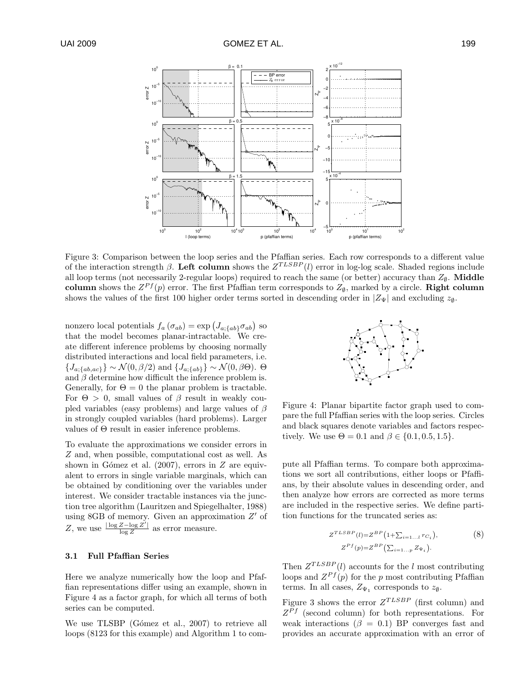

Figure 3: Comparison between the loop series and the Pfaffian series. Each row corresponds to a different value of the interaction strength  $\beta$ . Left column shows the  $Z^{TLSBP}(l)$  error in log-log scale. Shaded regions include all loop terms (not necessarily 2-regular loops) required to reach the same (or better) accuracy than  $Z_{\emptyset}$ . Middle column shows the  $Z^{Pf}(p)$  error. The first Pfaffian term corresponds to  $Z_{\emptyset}$ , marked by a circle. **Right column** shows the values of the first 100 higher order terms sorted in descending order in  $|Z_{\Psi}|$  and excluding  $z_{\emptyset}$ .

nonzero local potentials  $f_a(\sigma_{ab}) = \exp(J_{a;\{ab\}} \sigma_{ab})$  so that the model becomes planar-intractable. We create different inference problems by choosing normally distributed interactions and local field parameters, i.e.  ${J_{a;\{ab,ac\}}} \sim \mathcal{N}(0,\beta/2)$  and  ${J_{a;\{ab\}}} \sim \mathcal{N}(0,\beta\Theta)$ .  $\Theta$ and  $\beta$  determine how difficult the inference problem is. Generally, for  $\Theta = 0$  the planar problem is tractable. For  $\Theta > 0$ , small values of  $\beta$  result in weakly coupled variables (easy problems) and large values of  $\beta$ in strongly coupled variables (hard problems). Larger values of Θ result in easier inference problems.

To evaluate the approximations we consider errors in Z and, when possible, computational cost as well. As shown in Gómez et al. (2007), errors in  $Z$  are equivalent to errors in single variable marginals, which can be obtained by conditioning over the variables under interest. We consider tractable instances via the junction tree algorithm (Lauritzen and Spiegelhalter, 1988) using  $8GB$  of memory. Given an approximation  $Z'$  of Z, we use  $\frac{|\log Z - \log Z'|}{\log Z}$  $\frac{Z - \log Z}{\log Z}$  as error measure.

#### 3.1 Full Pfaffian Series

Here we analyze numerically how the loop and Pfaffian representations differ using an example, shown in Figure 4 as a factor graph, for which all terms of both series can be computed.

We use TLSBP (Gómez et al., 2007) to retrieve all loops (8123 for this example) and Algorithm 1 to com-



Figure 4: Planar bipartite factor graph used to compare the full Pfaffian series with the loop series. Circles and black squares denote variables and factors respectively. We use  $\Theta = 0.1$  and  $\beta \in \{0.1, 0.5, 1.5\}.$ 

pute all Pfaffian terms. To compare both approximations we sort all contributions, either loops or Pfaffians, by their absolute values in descending order, and then analyze how errors are corrected as more terms are included in the respective series. We define partition functions for the truncated series as:

$$
Z^{TLSBP}(l) = Z^{BP} \left( 1 + \sum_{i=1...l} r_{C_i} \right),
$$
  
\n
$$
Z^{Pf}(p) = Z^{BP} \left( \sum_{i=1...p} Z_{\Psi_i} \right).
$$
 (8)

Then  $Z^{TLSBP}(l)$  accounts for the l most contributing loops and  $Z^{Pf}(p)$  for the p most contributing Pfaffian terms. In all cases,  $Z_{\Psi_1}$  corresponds to  $z_{\emptyset}$ .

Figure 3 shows the error  $Z^{TLSBP}$  (first column) and  $Z^{Pf}$  (second column) for both representations. For weak interactions ( $\beta = 0.1$ ) BP converges fast and provides an accurate approximation with an error of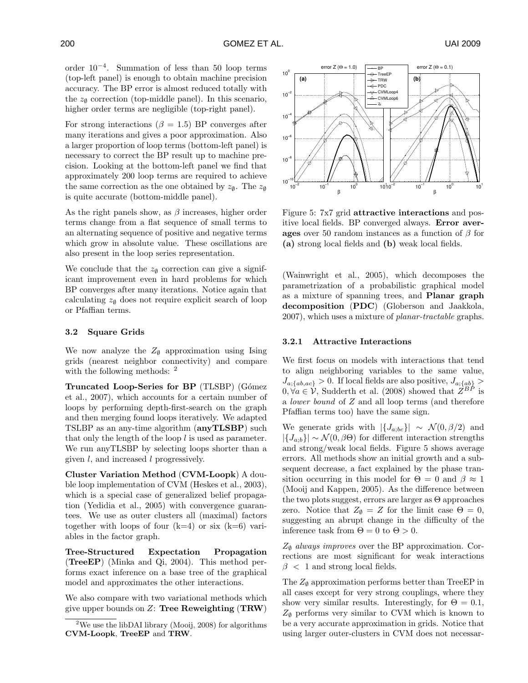order 10−<sup>4</sup> . Summation of less than 50 loop terms (top-left panel) is enough to obtain machine precision accuracy. The BP error is almost reduced totally with the  $z_{\emptyset}$  correction (top-middle panel). In this scenario, higher order terms are negligible (top-right panel).

For strong interactions ( $\beta = 1.5$ ) BP converges after many iterations and gives a poor approximation. Also a larger proportion of loop terms (bottom-left panel) is necessary to correct the BP result up to machine precision. Looking at the bottom-left panel we find that approximately 200 loop terms are required to achieve the same correction as the one obtained by  $z_{\emptyset}$ . The  $z_{\emptyset}$ is quite accurate (bottom-middle panel).

As the right panels show, as  $\beta$  increases, higher order terms change from a flat sequence of small terms to an alternating sequence of positive and negative terms which grow in absolute value. These oscillations are also present in the loop series representation.

We conclude that the  $z_{\emptyset}$  correction can give a significant improvement even in hard problems for which BP converges after many iterations. Notice again that calculating  $z_{\emptyset}$  does not require explicit search of loop or Pfaffian terms.

#### 3.2 Square Grids

We now analyze the  $Z_{\emptyset}$  approximation using Ising grids (nearest neighbor connectivity) and compare with the following methods: <sup>2</sup>

Truncated Loop-Series for BP (TLSBP) (Gómez et al., 2007), which accounts for a certain number of loops by performing depth-first-search on the graph and then merging found loops iteratively. We adapted TSLBP as an any-time algorithm (anyTLSBP) such that only the length of the loop l is used as parameter. We run anyTLSBP by selecting loops shorter than a given l, and increased l progressively.

Cluster Variation Method (CVM-Loopk) A double loop implementation of CVM (Heskes et al., 2003), which is a special case of generalized belief propagation (Yedidia et al., 2005) with convergence guarantees. We use as outer clusters all (maximal) factors together with loops of four  $(k=4)$  or six  $(k=6)$  variables in the factor graph.

Tree-Structured Expectation Propagation (TreeEP) (Minka and Qi, 2004). This method performs exact inference on a base tree of the graphical model and approximates the other interactions.

We also compare with two variational methods which give upper bounds on  $Z$ : Tree Reweighting (TRW)



Figure 5: 7x7 grid attractive interactions and positive local fields. BP converged always. Error averages over 50 random instances as a function of  $\beta$  for (a) strong local fields and (b) weak local fields.

(Wainwright et al., 2005), which decomposes the parametrization of a probabilistic graphical model as a mixture of spanning trees, and Planar graph decomposition (PDC) (Globerson and Jaakkola, 2007), which uses a mixture of *planar-tractable* graphs.

#### 3.2.1 Attractive Interactions

We first focus on models with interactions that tend to align neighboring variables to the same value,  $J_{a;\{ab,ac\}} > 0$ . If local fields are also positive,  $J_{a;\{ab\}} > 0$  $0, \forall a \in V$ , Sudderth et al. (2008) showed that  $Z^{BP}$  is a *lower bound* of Z and all loop terms (and therefore Pfaffian terms too) have the same sign.

We generate grids with  $|\{J_{a;bc}\}\rangle \sim \mathcal{N}(0,\beta/2)$  and  $|\{J_{a:b}\}\rangle \sim \mathcal{N}(0, \beta\Theta)$  for different interaction strengths and strong/weak local fields. Figure 5 shows average errors. All methods show an initial growth and a subsequent decrease, a fact explained by the phase transition occurring in this model for  $\Theta = 0$  and  $\beta \approx 1$ (Mooij and Kappen, 2005). As the difference between the two plots suggest, errors are larger as Θ approaches zero. Notice that  $Z_{\emptyset} = Z$  for the limit case  $\Theta = 0$ , suggesting an abrupt change in the difficulty of the inference task from  $\Theta = 0$  to  $\Theta > 0$ .

 $Z_{\emptyset}$  *always improves* over the BP approximation. Corrections are most significant for weak interactions  $\beta$  < 1 and strong local fields.

The  $Z_{\emptyset}$  approximation performs better than TreeEP in all cases except for very strong couplings, where they show very similar results. Interestingly, for  $\Theta = 0.1$ ,  $Z_{\emptyset}$  performs very similar to CVM which is known to be a very accurate approximation in grids. Notice that using larger outer-clusters in CVM does not necessar-

<sup>&</sup>lt;sup>2</sup>We use the libDAI library (Mooij, 2008) for algorithms CVM-Loopk, TreeEP and TRW.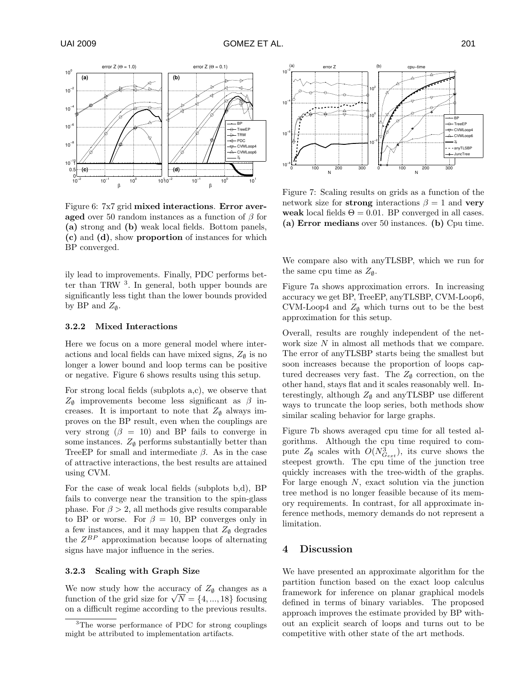

Figure 6: 7x7 grid mixed interactions. Error averaged over 50 random instances as a function of  $\beta$  for (a) strong and (b) weak local fields. Bottom panels, (c) and (d), show proportion of instances for which BP converged.

ily lead to improvements. Finally, PDC performs better than TRW <sup>3</sup> . In general, both upper bounds are significantly less tight than the lower bounds provided by BP and  $Z_{\varnothing}$ .

#### 3.2.2 Mixed Interactions

Here we focus on a more general model where interactions and local fields can have mixed signs,  $Z_{\emptyset}$  is no longer a lower bound and loop terms can be positive or negative. Figure 6 shows results using this setup.

For strong local fields (subplots a,c), we observe that  $Z_{\emptyset}$  improvements become less significant as  $\beta$  increases. It is important to note that  $Z_{\emptyset}$  always improves on the BP result, even when the couplings are very strong  $(\beta = 10)$  and BP fails to converge in some instances.  $Z_{\emptyset}$  performs substantially better than TreeEP for small and intermediate  $\beta$ . As in the case of attractive interactions, the best results are attained using CVM.

For the case of weak local fields (subplots b,d), BP fails to converge near the transition to the spin-glass phase. For  $\beta > 2$ , all methods give results comparable to BP or worse. For  $\beta = 10$ , BP converges only in a few instances, and it may happen that  $Z_{\emptyset}$  degrades the  $Z^{BP}$  approximation because loops of alternating signs have major influence in the series.

#### 3.2.3 Scaling with Graph Size

We now study how the accuracy of  $Z_{\emptyset}$  changes as a function of the grid size for  $\sqrt{N} = \{4, ..., 18\}$  focusing on a difficult regime according to the previous results.



Figure 7: Scaling results on grids as a function of the network size for strong interactions  $\beta = 1$  and very weak local fields  $\Theta = 0.01$ . BP converged in all cases. (a) Error medians over 50 instances. (b) Cpu time.

We compare also with anyTLSBP, which we run for the same cpu time as  $Z_{\varnothing}$ .

Figure 7a shows approximation errors. In increasing accuracy we get BP, TreeEP, anyTLSBP, CVM-Loop6, CVM-Loop4 and  $Z_{\emptyset}$  which turns out to be the best approximation for this setup.

Overall, results are roughly independent of the network size N in almost all methods that we compare. The error of anyTLSBP starts being the smallest but soon increases because the proportion of loops captured decreases very fast. The  $Z_{\emptyset}$  correction, on the other hand, stays flat and it scales reasonably well. Interestingly, although  $Z_{\emptyset}$  and anyTLSBP use different ways to truncate the loop series, both methods show similar scaling behavior for large graphs.

Figure 7b shows averaged cpu time for all tested algorithms. Although the cpu time required to compute  $Z_{\emptyset}$  scales with  $O(N_{G_{ext}}^3)$ , its curve shows the steepest growth. The cpu time of the junction tree quickly increases with the tree-width of the graphs. For large enough  $N$ , exact solution via the junction tree method is no longer feasible because of its memory requirements. In contrast, for all approximate inference methods, memory demands do not represent a limitation.

# 4 Discussion

We have presented an approximate algorithm for the partition function based on the exact loop calculus framework for inference on planar graphical models defined in terms of binary variables. The proposed approach improves the estimate provided by BP without an explicit search of loops and turns out to be competitive with other state of the art methods.

<sup>&</sup>lt;sup>3</sup>The worse performance of PDC for strong couplings might be attributed to implementation artifacts.